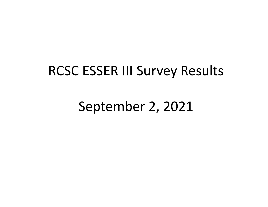## RCSC ESSER III Survey Results

September 2, 2021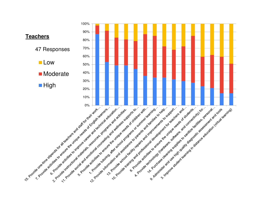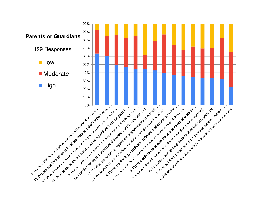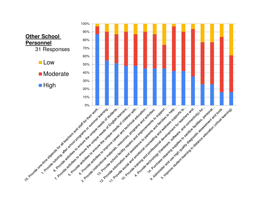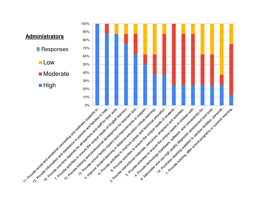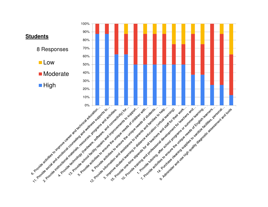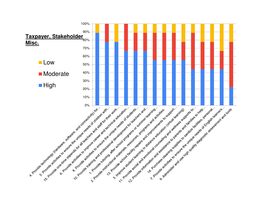